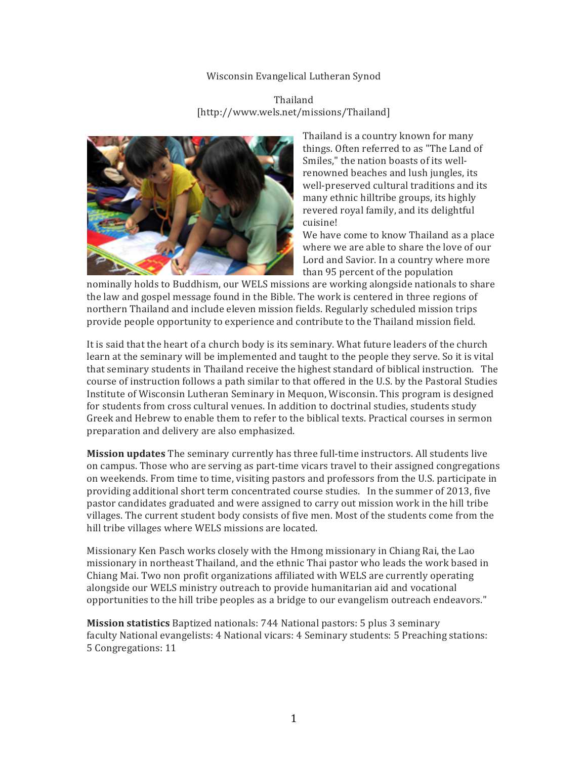## Wisconsin Evangelical Lutheran Synod

Thailand [http://www.wels.net/missions/Thailand]



Thailand is a country known for many things. Often referred to as "The Land of Smiles," the nation boasts of its wellrenowned beaches and lush jungles, its well-preserved cultural traditions and its many ethnic hilltribe groups, its highly revered royal family, and its delightful cuisine!

We have come to know Thailand as a place where we are able to share the love of our Lord and Savior. In a country where more than 95 percent of the population

nominally holds to Buddhism, our WELS missions are working alongside nationals to share the law and gospel message found in the Bible. The work is centered in three regions of northern Thailand and include eleven mission fields. Regularly scheduled mission trips provide people opportunity to experience and contribute to the Thailand mission field.

It is said that the heart of a church body is its seminary. What future leaders of the church learn at the seminary will be implemented and taught to the people they serve. So it is vital that seminary students in Thailand receive the highest standard of biblical instruction. The course of instruction follows a path similar to that offered in the U.S. by the Pastoral Studies Institute of Wisconsin Lutheran Seminary in Mequon, Wisconsin. This program is designed for students from cross cultural venues. In addition to doctrinal studies, students study Greek and Hebrew to enable them to refer to the biblical texts. Practical courses in sermon preparation and delivery are also emphasized.

**Mission updates** The seminary currently has three full-time instructors. All students live on campus. Those who are serving as part-time vicars travel to their assigned congregations on weekends. From time to time, visiting pastors and professors from the U.S. participate in providing additional short term concentrated course studies. In the summer of 2013, five pastor candidates graduated and were assigned to carry out mission work in the hill tribe villages. The current student body consists of five men. Most of the students come from the hill tribe villages where WELS missions are located.

Missionary Ken Pasch works closely with the Hmong missionary in Chiang Rai, the Lao missionary in northeast Thailand, and the ethnic Thai pastor who leads the work based in Chiang Mai. Two non profit organizations affiliated with WELS are currently operating alongside our WELS ministry outreach to provide humanitarian aid and vocational opportunities to the hill tribe peoples as a bridge to our evangelism outreach endeavors."

**Mission statistics** Baptized nationals: 744 National pastors: 5 plus 3 seminary faculty National evangelists: 4 National vicars: 4 Seminary students: 5 Preaching stations: 5 Congregations: 11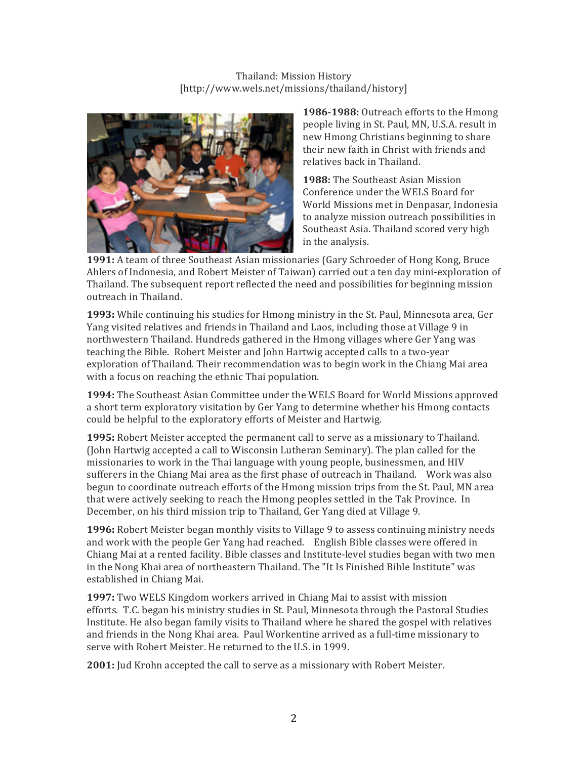## Thailand: Mission History [http://www.wels.net/missions/thailand/history]



1986-1988: Outreach efforts to the Hmong people living in St. Paul, MN, U.S.A. result in new Hmong Christians beginning to share their new faith in Christ with friends and relatives back in Thailand.

**1988:** The Southeast Asian Mission Conference under the WELS Board for World Missions met in Denpasar, Indonesia to analyze mission outreach possibilities in Southeast Asia. Thailand scored very high in the analysis.

**1991:** A team of three Southeast Asian missionaries (Gary Schroeder of Hong Kong, Bruce Ahlers of Indonesia, and Robert Meister of Taiwan) carried out a ten day mini-exploration of Thailand. The subsequent report reflected the need and possibilities for beginning mission outreach in Thailand.

**1993:** While continuing his studies for Hmong ministry in the St. Paul, Minnesota area, Ger Yang visited relatives and friends in Thailand and Laos, including those at Village 9 in northwestern Thailand. Hundreds gathered in the Hmong villages where Ger Yang was teaching the Bible. Robert Meister and John Hartwig accepted calls to a two-year exploration of Thailand. Their recommendation was to begin work in the Chiang Mai area with a focus on reaching the ethnic Thai population.

**1994:** The Southeast Asian Committee under the WELS Board for World Missions approved a short term exploratory visitation by Ger Yang to determine whether his Hmong contacts could be helpful to the exploratory efforts of Meister and Hartwig.

**1995:** Robert Meister accepted the permanent call to serve as a missionary to Thailand. (John Hartwig accepted a call to Wisconsin Lutheran Seminary). The plan called for the missionaries to work in the Thai language with young people, businessmen, and HIV sufferers in the Chiang Mai area as the first phase of outreach in Thailand. Work was also begun to coordinate outreach efforts of the Hmong mission trips from the St. Paul, MN area that were actively seeking to reach the Hmong peoples settled in the Tak Province. In December, on his third mission trip to Thailand, Ger Yang died at Village 9.

**1996:** Robert Meister began monthly visits to Village 9 to assess continuing ministry needs and work with the people Ger Yang had reached. English Bible classes were offered in Chiang Mai at a rented facility. Bible classes and Institute-level studies began with two men in the Nong Khai area of northeastern Thailand. The "It Is Finished Bible Institute" was established in Chiang Mai.

**1997:** Two WELS Kingdom workers arrived in Chiang Mai to assist with mission efforts. T.C. began his ministry studies in St. Paul, Minnesota through the Pastoral Studies Institute. He also began family visits to Thailand where he shared the gospel with relatives and friends in the Nong Khai area. Paul Workentine arrived as a full-time missionary to serve with Robert Meister. He returned to the U.S. in 1999.

**2001:** Jud Krohn accepted the call to serve as a missionary with Robert Meister.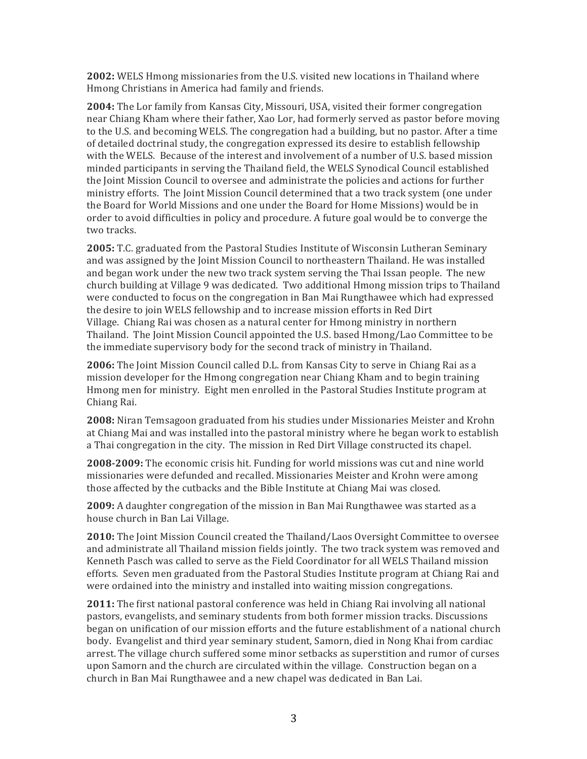**2002:** WELS Hmong missionaries from the U.S. visited new locations in Thailand where Hmong Christians in America had family and friends.

**2004:** The Lor family from Kansas City, Missouri, USA, visited their former congregation near Chiang Kham where their father, Xao Lor, had formerly served as pastor before moving to the U.S. and becoming WELS. The congregation had a building, but no pastor. After a time of detailed doctrinal study, the congregation expressed its desire to establish fellowship with the WELS. Because of the interest and involvement of a number of U.S. based mission minded participants in serving the Thailand field, the WELS Synodical Council established the Joint Mission Council to oversee and administrate the policies and actions for further ministry efforts. The Joint Mission Council determined that a two track system (one under the Board for World Missions and one under the Board for Home Missions) would be in order to avoid difficulties in policy and procedure. A future goal would be to converge the two tracks.

**2005:** T.C. graduated from the Pastoral Studies Institute of Wisconsin Lutheran Seminary and was assigned by the Joint Mission Council to northeastern Thailand. He was installed and began work under the new two track system serving the Thai Issan people. The new church building at Village 9 was dedicated. Two additional Hmong mission trips to Thailand were conducted to focus on the congregation in Ban Mai Rungthawee which had expressed the desire to join WELS fellowship and to increase mission efforts in Red Dirt Village. Chiang Rai was chosen as a natural center for Hmong ministry in northern Thailand. The Joint Mission Council appointed the U.S. based Hmong/Lao Committee to be the immediate supervisory body for the second track of ministry in Thailand.

**2006:** The Joint Mission Council called D.L. from Kansas City to serve in Chiang Rai as a mission developer for the Hmong congregation near Chiang Kham and to begin training Hmong men for ministry. Eight men enrolled in the Pastoral Studies Institute program at Chiang Rai.

**2008:** Niran Temsagoon graduated from his studies under Missionaries Meister and Krohn at Chiang Mai and was installed into the pastoral ministry where he began work to establish a Thai congregation in the city. The mission in Red Dirt Village constructed its chapel.

**2008-2009:** The economic crisis hit. Funding for world missions was cut and nine world missionaries were defunded and recalled. Missionaries Meister and Krohn were among those affected by the cutbacks and the Bible Institute at Chiang Mai was closed.

**2009:** A daughter congregation of the mission in Ban Mai Rungthawee was started as a house church in Ban Lai Village.

**2010:** The Joint Mission Council created the Thailand/Laos Oversight Committee to oversee and administrate all Thailand mission fields jointly. The two track system was removed and Kenneth Pasch was called to serve as the Field Coordinator for all WELS Thailand mission efforts. Seven men graduated from the Pastoral Studies Institute program at Chiang Rai and were ordained into the ministry and installed into waiting mission congregations.

**2011:** The first national pastoral conference was held in Chiang Rai involving all national pastors, evangelists, and seminary students from both former mission tracks. Discussions began on unification of our mission efforts and the future establishment of a national church body. Evangelist and third year seminary student, Samorn, died in Nong Khai from cardiac arrest. The village church suffered some minor setbacks as superstition and rumor of curses upon Samorn and the church are circulated within the village. Construction began on a church in Ban Mai Rungthawee and a new chapel was dedicated in Ban Lai.